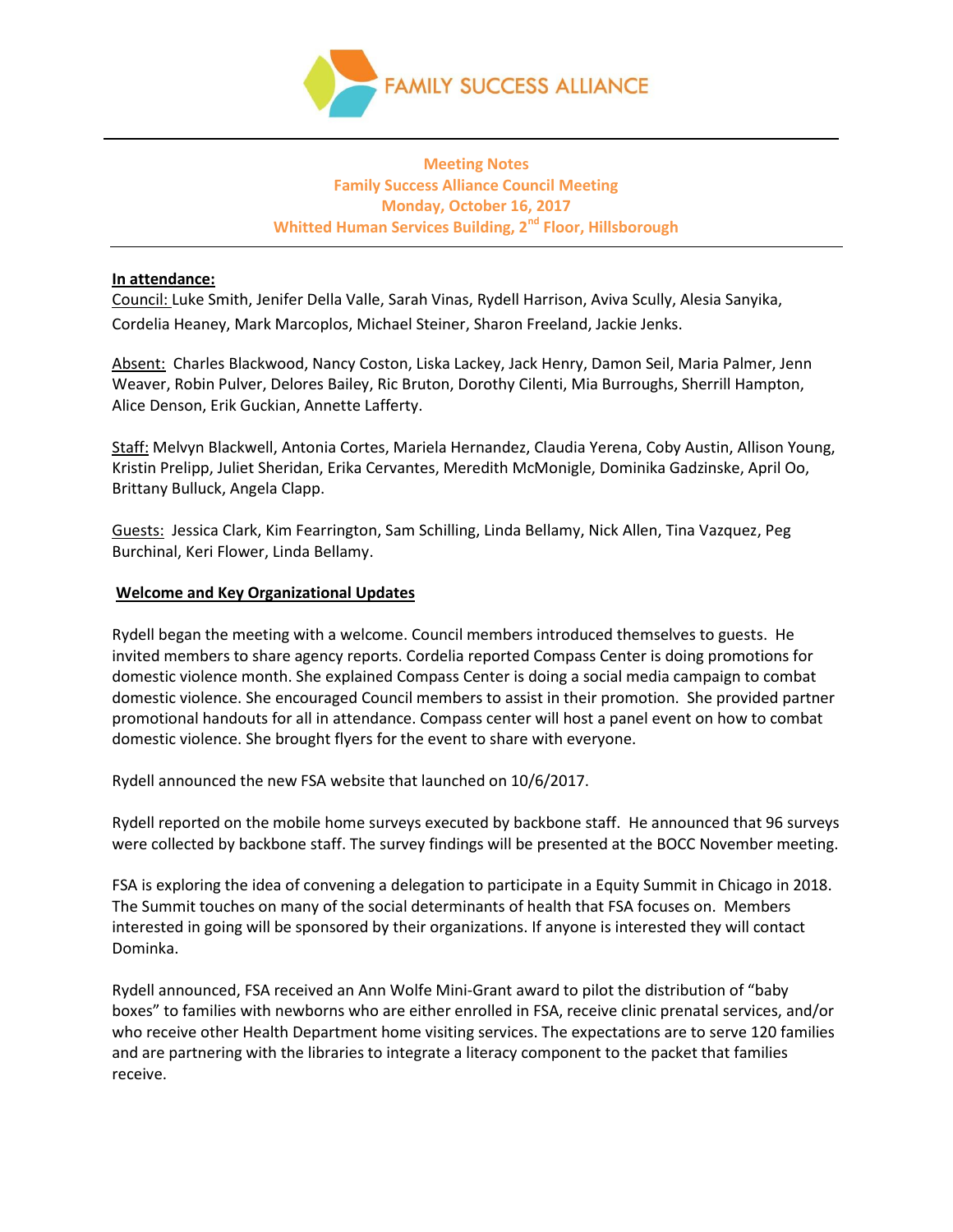

# **Meeting Notes Family Success Alliance Council Meeting Monday, October 16, 2017 Whitted Human Services Building, 2nd Floor, Hillsborough**

### **In attendance:**

Council: Luke Smith, Jenifer Della Valle, Sarah Vinas, Rydell Harrison, Aviva Scully, Alesia Sanyika, Cordelia Heaney, Mark Marcoplos, Michael Steiner, Sharon Freeland, Jackie Jenks.

Absent: Charles Blackwood, Nancy Coston, Liska Lackey, Jack Henry, Damon Seil, Maria Palmer, Jenn Weaver, Robin Pulver, Delores Bailey, Ric Bruton, Dorothy Cilenti, Mia Burroughs, Sherrill Hampton, Alice Denson, Erik Guckian, Annette Lafferty.

Staff: Melvyn Blackwell, Antonia Cortes, Mariela Hernandez, Claudia Yerena, Coby Austin, Allison Young, Kristin Prelipp, Juliet Sheridan, Erika Cervantes, Meredith McMonigle, Dominika Gadzinske, April Oo, Brittany Bulluck, Angela Clapp.

Guests: Jessica Clark, Kim Fearrington, Sam Schilling, Linda Bellamy, Nick Allen, Tina Vazquez, Peg Burchinal, Keri Flower, Linda Bellamy.

### **Welcome and Key Organizational Updates**

Rydell began the meeting with a welcome. Council members introduced themselves to guests. He invited members to share agency reports. Cordelia reported Compass Center is doing promotions for domestic violence month. She explained Compass Center is doing a social media campaign to combat domestic violence. She encouraged Council members to assist in their promotion. She provided partner promotional handouts for all in attendance. Compass center will host a panel event on how to combat domestic violence. She brought flyers for the event to share with everyone.

Rydell announced the new FSA website that launched on 10/6/2017.

Rydell reported on the mobile home surveys executed by backbone staff. He announced that 96 surveys were collected by backbone staff. The survey findings will be presented at the BOCC November meeting.

FSA is exploring the idea of convening a delegation to participate in a Equity Summit in Chicago in 2018. The Summit touches on many of the social determinants of health that FSA focuses on. Members interested in going will be sponsored by their organizations. If anyone is interested they will contact Dominka.

Rydell announced, FSA received an Ann Wolfe Mini-Grant award to pilot the distribution of "baby boxes" to families with newborns who are either enrolled in FSA, receive clinic prenatal services, and/or who receive other Health Department home visiting services. The expectations are to serve 120 families and are partnering with the libraries to integrate a literacy component to the packet that families receive.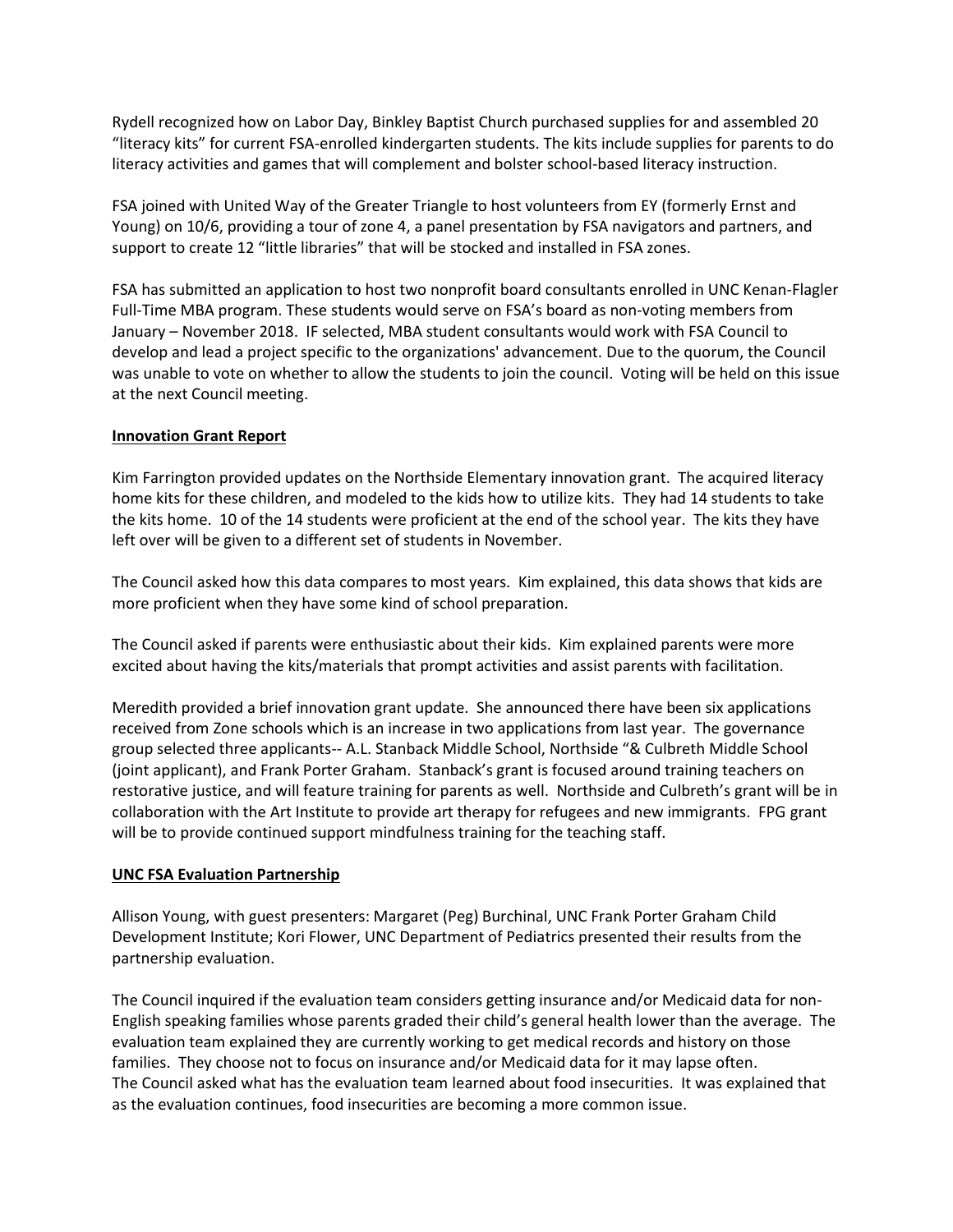Rydell recognized how on Labor Day, Binkley Baptist Church purchased supplies for and assembled 20 "literacy kits" for current FSA-enrolled kindergarten students. The kits include supplies for parents to do literacy activities and games that will complement and bolster school-based literacy instruction.

FSA joined with United Way of the Greater Triangle to host volunteers from EY (formerly Ernst and Young) on 10/6, providing a tour of zone 4, a panel presentation by FSA navigators and partners, and support to create 12 "little libraries" that will be stocked and installed in FSA zones.

FSA has submitted an application to host two nonprofit board consultants enrolled in UNC Kenan-Flagler Full-Time MBA program. These students would serve on FSA's board as non-voting members from January – November 2018. IF selected, MBA student consultants would work with FSA Council to develop and lead a project specific to the organizations' advancement. Due to the quorum, the Council was unable to vote on whether to allow the students to join the council. Voting will be held on this issue at the next Council meeting.

### **Innovation Grant Report**

Kim Farrington provided updates on the Northside Elementary innovation grant. The acquired literacy home kits for these children, and modeled to the kids how to utilize kits. They had 14 students to take the kits home. 10 of the 14 students were proficient at the end of the school year. The kits they have left over will be given to a different set of students in November.

The Council asked how this data compares to most years. Kim explained, this data shows that kids are more proficient when they have some kind of school preparation.

The Council asked if parents were enthusiastic about their kids. Kim explained parents were more excited about having the kits/materials that prompt activities and assist parents with facilitation.

Meredith provided a brief innovation grant update. She announced there have been six applications received from Zone schools which is an increase in two applications from last year. The governance group selected three applicants-- A.L. Stanback Middle School, Northside "& Culbreth Middle School (joint applicant), and Frank Porter Graham. Stanback's grant is focused around training teachers on restorative justice, and will feature training for parents as well. Northside and Culbreth's grant will be in collaboration with the Art Institute to provide art therapy for refugees and new immigrants. FPG grant will be to provide continued support mindfulness training for the teaching staff.

### **UNC FSA Evaluation Partnership**

Allison Young, with guest presenters: Margaret (Peg) Burchinal, UNC Frank Porter Graham Child Development Institute; Kori Flower, UNC Department of Pediatrics presented their results from the partnership evaluation.

The Council inquired if the evaluation team considers getting insurance and/or Medicaid data for non-English speaking families whose parents graded their child's general health lower than the average. The evaluation team explained they are currently working to get medical records and history on those families. They choose not to focus on insurance and/or Medicaid data for it may lapse often. The Council asked what has the evaluation team learned about food insecurities. It was explained that as the evaluation continues, food insecurities are becoming a more common issue.